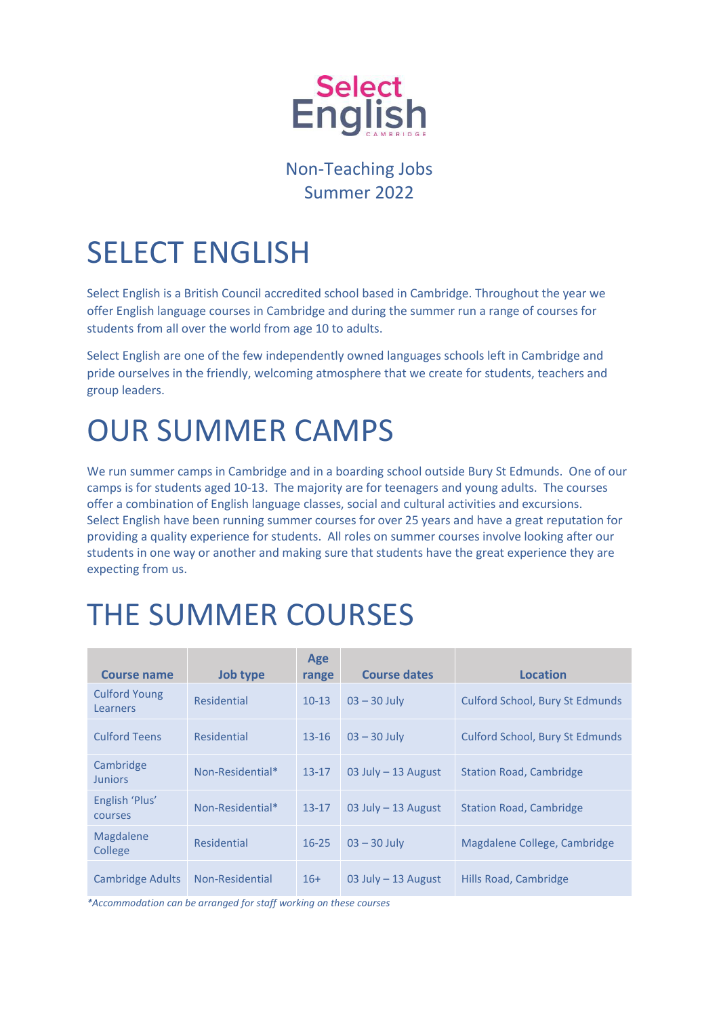

### Non-Teaching Jobs Summer 2022

# SELECT ENGLISH

Select English is a British Council accredited school based in Cambridge. Throughout the year we offer English language courses in Cambridge and during the summer run a range of courses for students from all over the world from age 10 to adults.

Select English are one of the few independently owned languages schools left in Cambridge and pride ourselves in the friendly, welcoming atmosphere that we create for students, teachers and group leaders.

### OUR SUMMER CAMPS

We run summer camps in Cambridge and in a boarding school outside Bury St Edmunds. One of our camps is for students aged 10-13. The majority are for teenagers and young adults. The courses offer a combination of English language classes, social and cultural activities and excursions. Select English have been running summer courses for over 25 years and have a great reputation for providing a quality experience for students. All roles on summer courses involve looking after our students in one way or another and making sure that students have the great experience they are expecting from us.

# THE SUMMER COURSES

| <b>Course name</b>                      | Job type         | Age<br>range | <b>Course dates</b>   | Location                               |
|-----------------------------------------|------------------|--------------|-----------------------|----------------------------------------|
| <b>Culford Young</b><br><b>Learners</b> | Residential      | $10-13$      | $03 - 30$ July        | <b>Culford School, Bury St Edmunds</b> |
| <b>Culford Teens</b>                    | Residential      | $13 - 16$    | $03 - 30$ July        | <b>Culford School, Bury St Edmunds</b> |
| Cambridge<br><b>Juniors</b>             | Non-Residential* | $13 - 17$    | 03 July $-$ 13 August | <b>Station Road, Cambridge</b>         |
| English 'Plus'<br>courses               | Non-Residential* | $13 - 17$    | 03 July $-$ 13 August | <b>Station Road, Cambridge</b>         |
| Magdalene<br>College                    | Residential      | $16 - 25$    | $03 - 30$ July        | Magdalene College, Cambridge           |
| <b>Cambridge Adults</b>                 | Non-Residential  | $16+$        | 03 July $-$ 13 August | Hills Road, Cambridge                  |

*\*Accommodation can be arranged for staff working on these courses*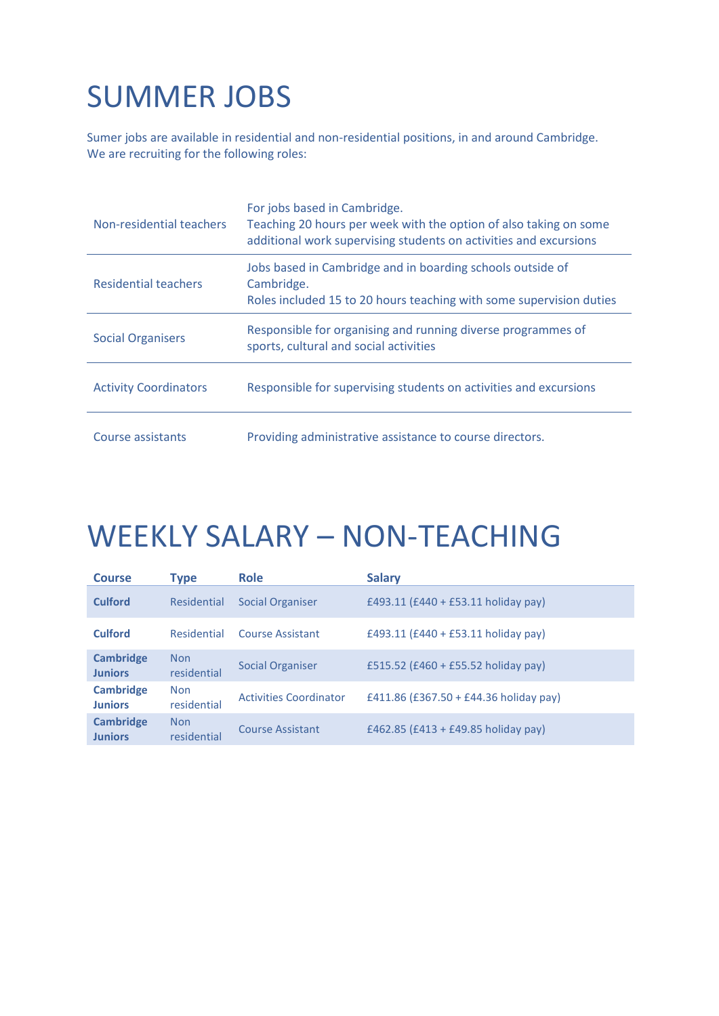# SUMMER JOBS

Sumer jobs are available in residential and non-residential positions, in and around Cambridge. We are recruiting for the following roles:

| Non-residential teachers     | For jobs based in Cambridge.<br>Teaching 20 hours per week with the option of also taking on some<br>additional work supervising students on activities and excursions |
|------------------------------|------------------------------------------------------------------------------------------------------------------------------------------------------------------------|
| Residential teachers         | Jobs based in Cambridge and in boarding schools outside of<br>Cambridge.<br>Roles included 15 to 20 hours teaching with some supervision duties                        |
| <b>Social Organisers</b>     | Responsible for organising and running diverse programmes of<br>sports, cultural and social activities                                                                 |
| <b>Activity Coordinators</b> | Responsible for supervising students on activities and excursions                                                                                                      |
| Course assistants            | Providing administrative assistance to course directors.                                                                                                               |

## WEEKLY SALARY – NON-TEACHING

| <b>Course</b>                      | <b>Type</b>               | <b>Role</b>                   | <b>Salary</b>                          |
|------------------------------------|---------------------------|-------------------------------|----------------------------------------|
| <b>Culford</b>                     | Residential               | <b>Social Organiser</b>       | £493.11 (£440 + £53.11 holiday pay)    |
| Culford                            | Residential               | Course Assistant              | £493.11 (£440 + £53.11 holiday pay)    |
| <b>Cambridge</b><br><b>Juniors</b> | <b>Non</b><br>residential | <b>Social Organiser</b>       | £515.52 (£460 + £55.52 holiday pay)    |
| <b>Cambridge</b><br><b>Juniors</b> | <b>Non</b><br>residential | <b>Activities Coordinator</b> | £411.86 (£367.50 + £44.36 holiday pay) |
| <b>Cambridge</b><br><b>Juniors</b> | <b>Non</b><br>residential | <b>Course Assistant</b>       | £462.85 (£413 + £49.85 holiday pay)    |